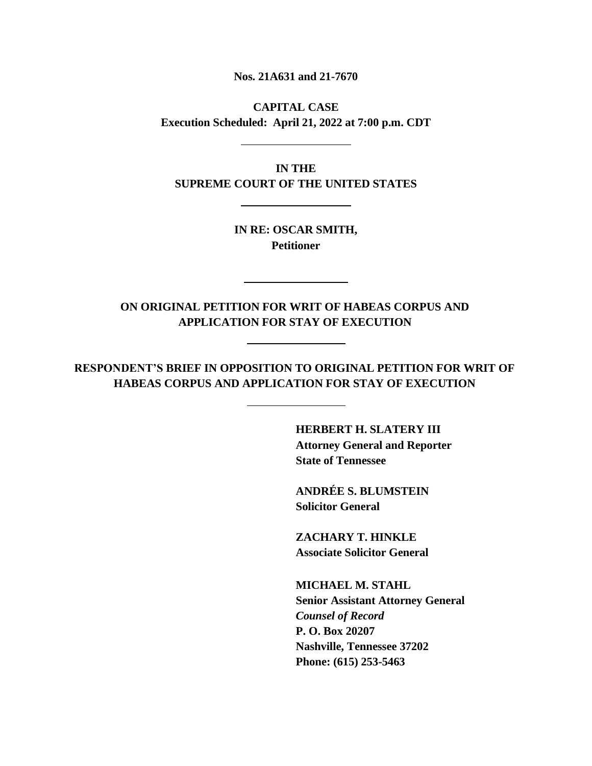**Nos. 21A631 and 21-7670**

**CAPITAL CASE Execution Scheduled: April 21, 2022 at 7:00 p.m. CDT**

**IN THE SUPREME COURT OF THE UNITED STATES**

> **IN RE: OSCAR SMITH, Petitioner**

**ON ORIGINAL PETITION FOR WRIT OF HABEAS CORPUS AND APPLICATION FOR STAY OF EXECUTION**

**RESPONDENT'S BRIEF IN OPPOSITION TO ORIGINAL PETITION FOR WRIT OF HABEAS CORPUS AND APPLICATION FOR STAY OF EXECUTION**

> **HERBERT H. SLATERY III Attorney General and Reporter State of Tennessee**

**ANDRÉE S. BLUMSTEIN Solicitor General**

**ZACHARY T. HINKLE Associate Solicitor General**

**MICHAEL M. STAHL Senior Assistant Attorney General** *Counsel of Record* **P. O. Box 20207 Nashville, Tennessee 37202 Phone: (615) 253-5463**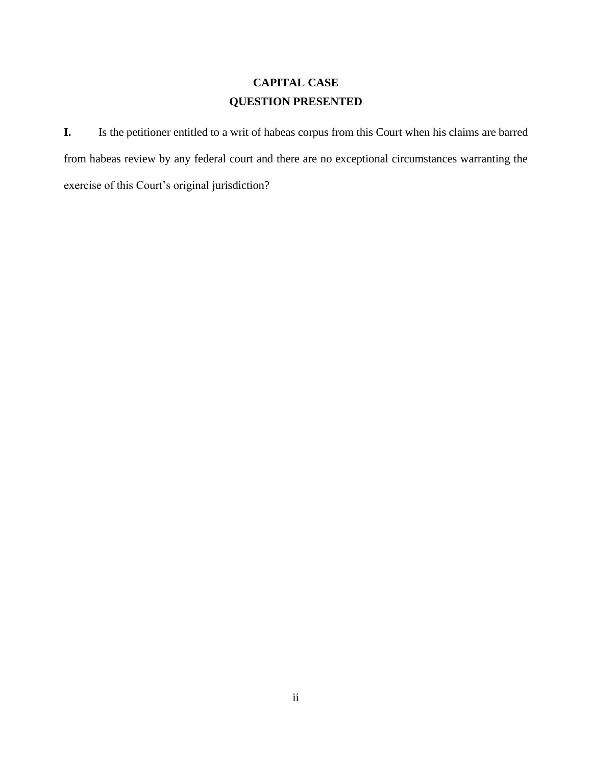# **CAPITAL CASE QUESTION PRESENTED**

**I.** Is the petitioner entitled to a writ of habeas corpus from this Court when his claims are barred from habeas review by any federal court and there are no exceptional circumstances warranting the exercise of this Court's original jurisdiction?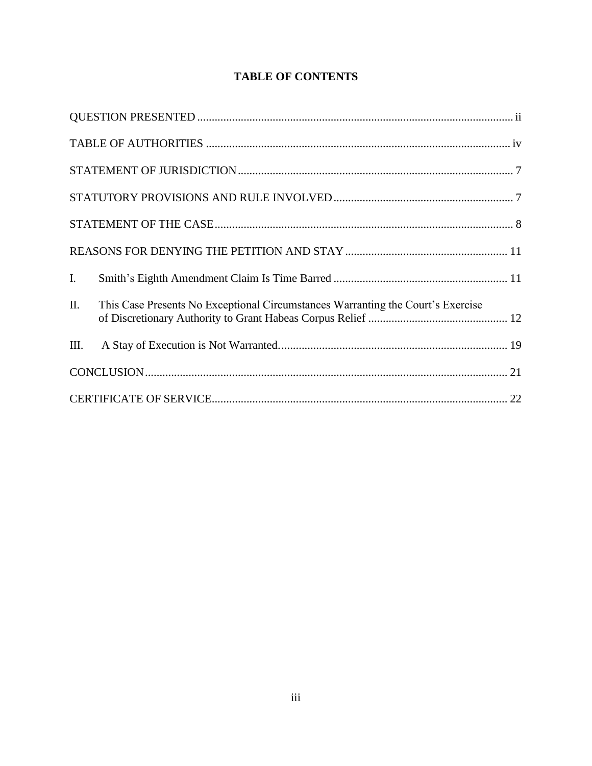# **TABLE OF CONTENTS**

| I.   |                                                                                 |  |
|------|---------------------------------------------------------------------------------|--|
| Π.   | This Case Presents No Exceptional Circumstances Warranting the Court's Exercise |  |
| III. |                                                                                 |  |
|      |                                                                                 |  |
|      |                                                                                 |  |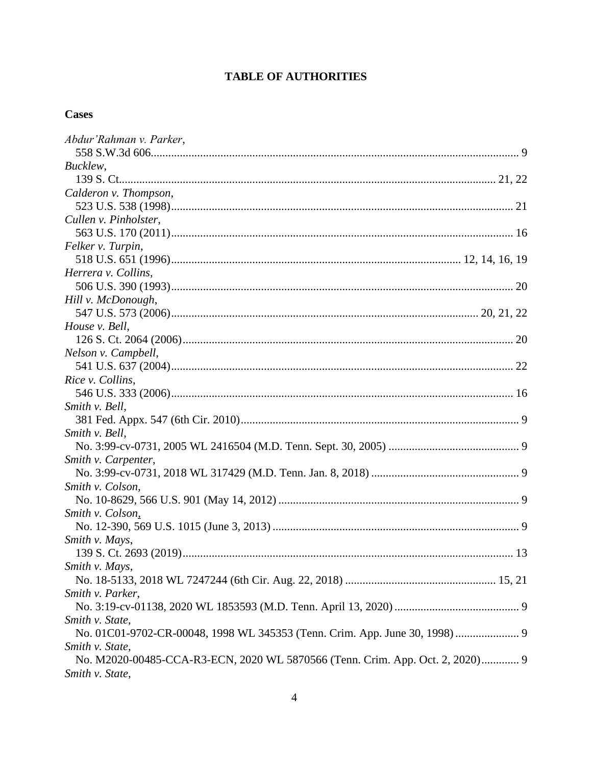# **TABLE OF AUTHORITIES**

# **Cases**

| Abdur'Rahman v. Parker,                                                       |
|-------------------------------------------------------------------------------|
|                                                                               |
| Bucklew,                                                                      |
|                                                                               |
| Calderon v. Thompson,                                                         |
|                                                                               |
| Cullen v. Pinholster,                                                         |
|                                                                               |
| Felker v. Turpin,                                                             |
|                                                                               |
| Herrera v. Collins,                                                           |
|                                                                               |
| Hill v. McDonough,                                                            |
|                                                                               |
| House v. Bell,                                                                |
|                                                                               |
| Nelson v. Campbell,                                                           |
|                                                                               |
| Rice v. Collins,                                                              |
|                                                                               |
| Smith v. Bell,                                                                |
|                                                                               |
| Smith v. Bell,                                                                |
|                                                                               |
| Smith v. Carpenter,                                                           |
|                                                                               |
| Smith v. Colson,                                                              |
|                                                                               |
| Smith v. Colson,                                                              |
|                                                                               |
| Smith v. Mays,                                                                |
|                                                                               |
| Smith v. Mays,                                                                |
|                                                                               |
| Smith v. Parker,                                                              |
|                                                                               |
| Smith v. State,                                                               |
| No. 01C01-9702-CR-00048, 1998 WL 345353 (Tenn. Crim. App. June 30, 1998)  9   |
| Smith v. State,                                                               |
| No. M2020-00485-CCA-R3-ECN, 2020 WL 5870566 (Tenn. Crim. App. Oct. 2, 2020) 9 |
| Smith v. State,                                                               |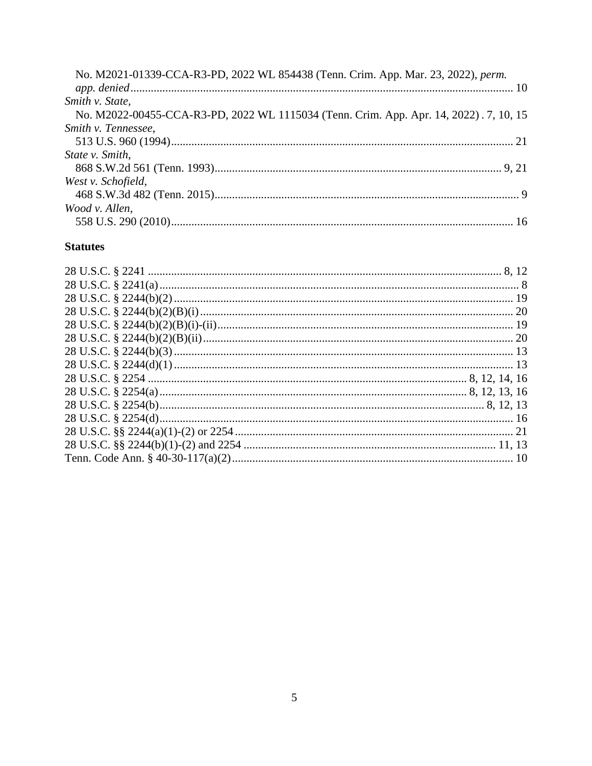| No. M2021-01339-CCA-R3-PD, 2022 WL 854438 (Tenn. Crim. App. Mar. 23, 2022), perm.      |
|----------------------------------------------------------------------------------------|
| Smith v. State,                                                                        |
| No. M2022-00455-CCA-R3-PD, 2022 WL 1115034 (Tenn. Crim. App. Apr. 14, 2022). 7, 10, 15 |
| Smith v. Tennessee,                                                                    |
|                                                                                        |
| State v. Smith,                                                                        |
|                                                                                        |
| West v. Schofield,                                                                     |
|                                                                                        |
| Wood v. Allen,                                                                         |
|                                                                                        |

## **Statutes**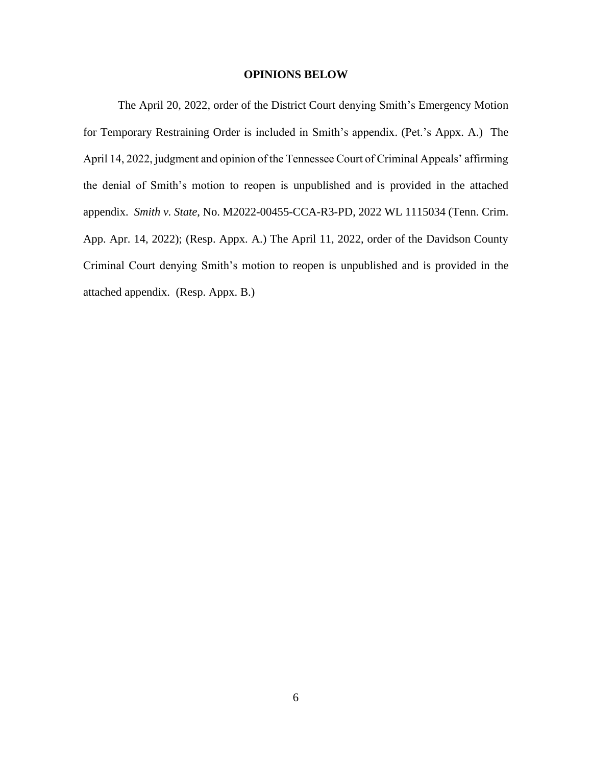### **OPINIONS BELOW**

The April 20, 2022, order of the District Court denying Smith's Emergency Motion for Temporary Restraining Order is included in Smith's appendix. (Pet.'s Appx. A.) The April 14, 2022, judgment and opinion of the Tennessee Court of Criminal Appeals' affirming the denial of Smith's motion to reopen is unpublished and is provided in the attached appendix. *Smith v. State*, No. M2022-00455-CCA-R3-PD, 2022 WL 1115034 (Tenn. Crim. App. Apr. 14, 2022); (Resp. Appx. A.) The April 11, 2022, order of the Davidson County Criminal Court denying Smith's motion to reopen is unpublished and is provided in the attached appendix. (Resp. Appx. B.)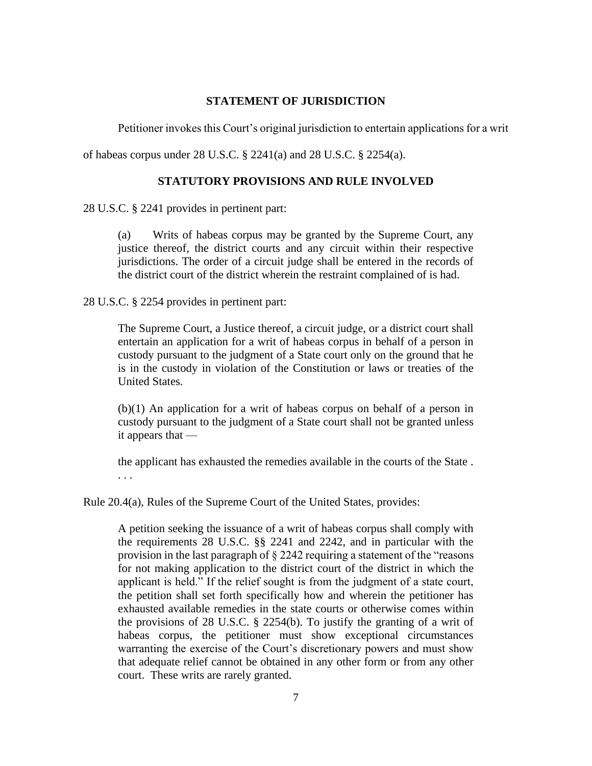### **STATEMENT OF JURISDICTION**

Petitioner invokes this Court's original jurisdiction to entertain applications for a writ

of habeas corpus under 28 U.S.C. § 2241(a) and 28 U.S.C. § 2254(a).

## **STATUTORY PROVISIONS AND RULE INVOLVED**

28 U.S.C. § 2241 provides in pertinent part:

(a) Writs of habeas corpus may be granted by the Supreme Court, any justice thereof, the district courts and any circuit within their respective jurisdictions. The order of a circuit judge shall be entered in the records of the district court of the district wherein the restraint complained of is had.

28 U.S.C. § 2254 provides in pertinent part:

The Supreme Court, a Justice thereof, a circuit judge, or a district court shall entertain an application for a writ of habeas corpus in behalf of a person in custody pursuant to the judgment of a State court only on the ground that he is in the custody in violation of the Constitution or laws or treaties of the United States.

(b)(1) An application for a writ of habeas corpus on behalf of a person in custody pursuant to the judgment of a State court shall not be granted unless it appears that —

the applicant has exhausted the remedies available in the courts of the State .

. . .

Rule 20.4(a), Rules of the Supreme Court of the United States, provides:

A petition seeking the issuance of a writ of habeas corpus shall comply with the requirements 28 U.S.C. §§ 2241 and 2242, and in particular with the provision in the last paragraph of § 2242 requiring a statement of the "reasons for not making application to the district court of the district in which the applicant is held." If the relief sought is from the judgment of a state court, the petition shall set forth specifically how and wherein the petitioner has exhausted available remedies in the state courts or otherwise comes within the provisions of 28 U.S.C. § 2254(b). To justify the granting of a writ of habeas corpus, the petitioner must show exceptional circumstances warranting the exercise of the Court's discretionary powers and must show that adequate relief cannot be obtained in any other form or from any other court. These writs are rarely granted.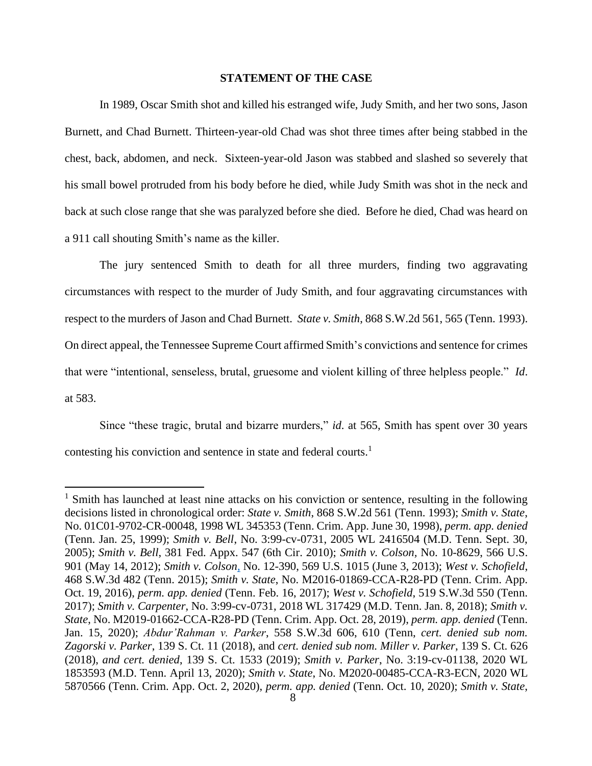#### **STATEMENT OF THE CASE**

In 1989, Oscar Smith shot and killed his estranged wife, Judy Smith, and her two sons, Jason Burnett, and Chad Burnett. Thirteen-year-old Chad was shot three times after being stabbed in the chest, back, abdomen, and neck. Sixteen-year-old Jason was stabbed and slashed so severely that his small bowel protruded from his body before he died, while Judy Smith was shot in the neck and back at such close range that she was paralyzed before she died. Before he died, Chad was heard on a 911 call shouting Smith's name as the killer.

The jury sentenced Smith to death for all three murders, finding two aggravating circumstances with respect to the murder of Judy Smith, and four aggravating circumstances with respect to the murders of Jason and Chad Burnett. *State v. Smith*, 868 S.W.2d 561, 565 (Tenn. 1993). On direct appeal, the Tennessee Supreme Court affirmed Smith's convictions and sentence for crimes that were "intentional, senseless, brutal, gruesome and violent killing of three helpless people." *Id*. at 583.

Since "these tragic, brutal and bizarre murders," *id.* at 565, Smith has spent over 30 years contesting his conviction and sentence in state and federal courts.<sup>1</sup>

 $<sup>1</sup>$  Smith has launched at least nine attacks on his conviction or sentence, resulting in the following</sup> decisions listed in chronological order: *State v. Smith*, 868 S.W.2d 561 (Tenn. 1993); *Smith v. State*, No. 01C01-9702-CR-00048, 1998 WL 345353 (Tenn. Crim. App. June 30, 1998), *perm. app. denied* (Tenn. Jan. 25, 1999); *Smith v. Bell*, No. 3:99-cv-0731, 2005 WL 2416504 (M.D. Tenn. Sept. 30, 2005); *Smith v. Bell*, 381 Fed. Appx. 547 (6th Cir. 2010); *Smith v. Colson,* No. 10-8629, 566 U.S. 901 (May 14, 2012); *Smith v. Colson*, No. 12-390, 569 U.S. 1015 (June 3, 2013); *West v. Schofield*, 468 S.W.3d 482 (Tenn. 2015); *Smith v. State*, No. M2016-01869-CCA-R28-PD (Tenn. Crim. App. Oct. 19, 2016), *perm. app. denied* (Tenn. Feb. 16, 2017); *West v. Schofield*, 519 S.W.3d 550 (Tenn. 2017); *Smith v. Carpenter*, No. 3:99-cv-0731, 2018 WL 317429 (M.D. Tenn. Jan. 8, 2018); *Smith v. State*, No. M2019-01662-CCA-R28-PD (Tenn. Crim. App. Oct. 28, 2019), *perm. app. denied* (Tenn. Jan. 15, 2020); *Abdur'Rahman v. Parker*, 558 S.W.3d 606, 610 (Tenn, *cert. denied sub nom. Zagorski v. Parker*, 139 S. Ct. 11 (2018), and *cert. denied sub nom. Miller v. Parker*, 139 S. Ct. 626 (2018), *and cert. denied*, 139 S. Ct. 1533 (2019); *Smith v. Parker*, No. 3:19-cv-01138, 2020 WL 1853593 (M.D. Tenn. April 13, 2020); *Smith v. State*, No. M2020-00485-CCA-R3-ECN, 2020 WL 5870566 (Tenn. Crim. App. Oct. 2, 2020), *perm. app. denied* (Tenn. Oct. 10, 2020); *Smith v. State*,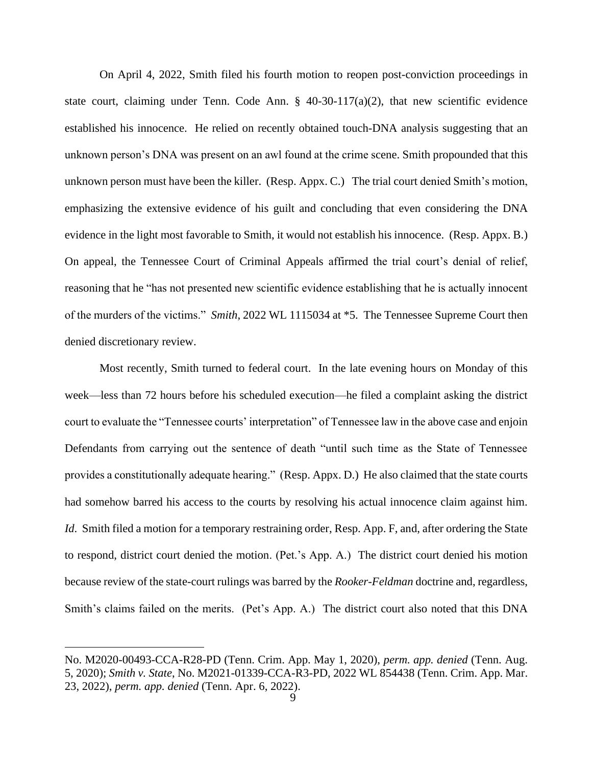On April 4, 2022, Smith filed his fourth motion to reopen post-conviction proceedings in state court, claiming under Tenn. Code Ann.  $\S$  40-30-117(a)(2), that new scientific evidence established his innocence. He relied on recently obtained touch-DNA analysis suggesting that an unknown person's DNA was present on an awl found at the crime scene. Smith propounded that this unknown person must have been the killer. (Resp. Appx. C.) The trial court denied Smith's motion, emphasizing the extensive evidence of his guilt and concluding that even considering the DNA evidence in the light most favorable to Smith, it would not establish his innocence. (Resp. Appx. B.) On appeal, the Tennessee Court of Criminal Appeals affirmed the trial court's denial of relief, reasoning that he "has not presented new scientific evidence establishing that he is actually innocent of the murders of the victims." *Smith*, 2022 WL 1115034 at \*5. The Tennessee Supreme Court then denied discretionary review.

Most recently, Smith turned to federal court. In the late evening hours on Monday of this week—less than 72 hours before his scheduled execution—he filed a complaint asking the district court to evaluate the "Tennessee courts' interpretation" of Tennessee law in the above case and enjoin Defendants from carrying out the sentence of death "until such time as the State of Tennessee provides a constitutionally adequate hearing." (Resp. Appx. D.) He also claimed that the state courts had somehow barred his access to the courts by resolving his actual innocence claim against him. *Id.* Smith filed a motion for a temporary restraining order, Resp. App. F, and, after ordering the State to respond, district court denied the motion. (Pet.'s App. A.) The district court denied his motion because review of the state-court rulings was barred by the *Rooker-Feldman* doctrine and, regardless, Smith's claims failed on the merits. (Pet's App. A.) The district court also noted that this DNA

No. M2020-00493-CCA-R28-PD (Tenn. Crim. App. May 1, 2020), *perm. app. denied* (Tenn. Aug. 5, 2020); *Smith v. State*, No. M2021-01339-CCA-R3-PD, 2022 WL 854438 (Tenn. Crim. App. Mar. 23, 2022), *perm. app. denied* (Tenn. Apr. 6, 2022).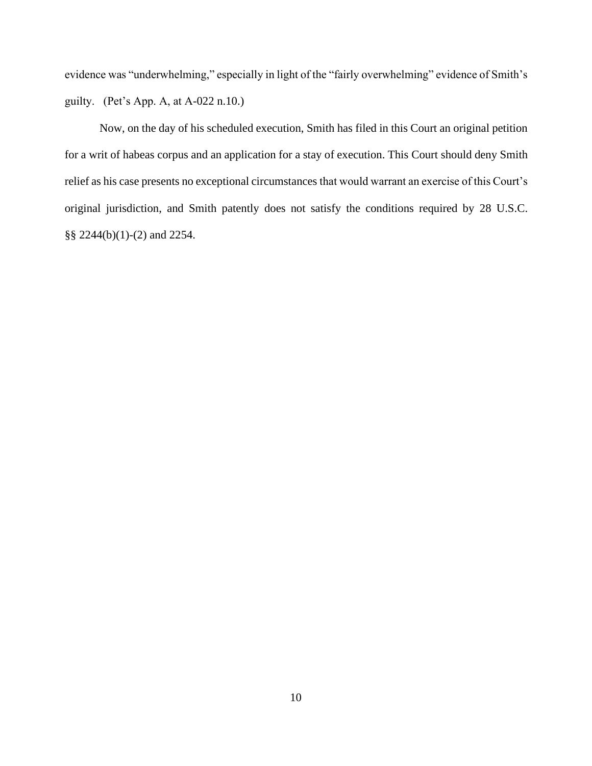evidence was "underwhelming," especially in light of the "fairly overwhelming" evidence of Smith's guilty. (Pet's App. A, at A-022 n.10.)

Now, on the day of his scheduled execution, Smith has filed in this Court an original petition for a writ of habeas corpus and an application for a stay of execution. This Court should deny Smith relief as his case presents no exceptional circumstances that would warrant an exercise of this Court's original jurisdiction, and Smith patently does not satisfy the conditions required by 28 U.S.C. §§ 2244(b)(1)-(2) and 2254.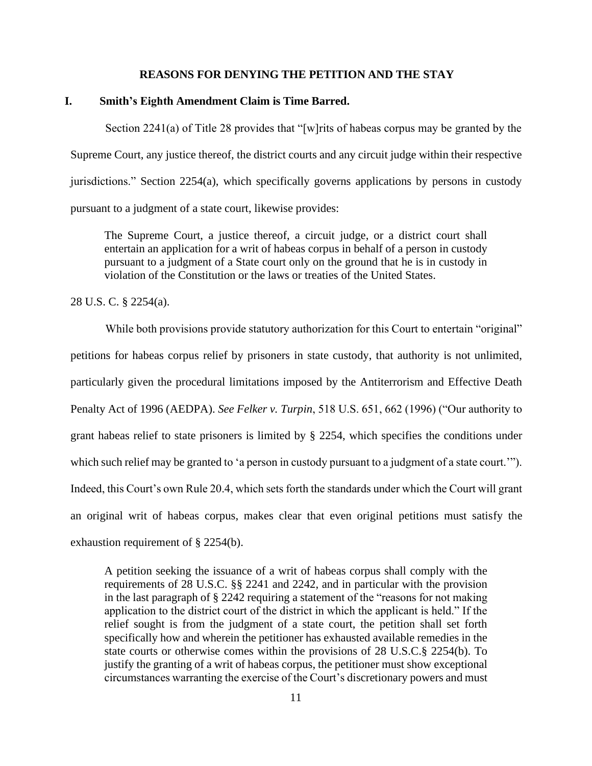### **REASONS FOR DENYING THE PETITION AND THE STAY**

## **I. Smith's Eighth Amendment Claim is Time Barred.**

Section 2241(a) of Title 28 provides that "[w]rits of habeas corpus may be granted by the Supreme Court, any justice thereof, the district courts and any circuit judge within their respective jurisdictions." Section  $2254(a)$ , which specifically governs applications by persons in custody pursuant to a judgment of a state court, likewise provides:

The Supreme Court, a justice thereof, a circuit judge, or a district court shall entertain an application for a writ of habeas corpus in behalf of a person in custody pursuant to a judgment of a State court only on the ground that he is in custody in violation of the Constitution or the laws or treaties of the United States.

28 U.S. C. § 2254(a).

While both provisions provide statutory authorization for this Court to entertain "original" petitions for habeas corpus relief by prisoners in state custody, that authority is not unlimited, particularly given the procedural limitations imposed by the Antiterrorism and Effective Death Penalty Act of 1996 (AEDPA). *See Felker v. Turpin*, 518 U.S. 651, 662 (1996) ("Our authority to grant habeas relief to state prisoners is limited by § 2254, which specifies the conditions under which such relief may be granted to 'a person in custody pursuant to a judgment of a state court.'"). Indeed, this Court's own Rule 20.4, which sets forth the standards under which the Court will grant an original writ of habeas corpus, makes clear that even original petitions must satisfy the exhaustion requirement of § 2254(b).

A petition seeking the issuance of a writ of habeas corpus shall comply with the requirements of 28 U.S.C. §§ 2241 and 2242, and in particular with the provision in the last paragraph of § 2242 requiring a statement of the "reasons for not making application to the district court of the district in which the applicant is held." If the relief sought is from the judgment of a state court, the petition shall set forth specifically how and wherein the petitioner has exhausted available remedies in the state courts or otherwise comes within the provisions of 28 U.S.C.§ 2254(b). To justify the granting of a writ of habeas corpus, the petitioner must show exceptional circumstances warranting the exercise of the Court's discretionary powers and must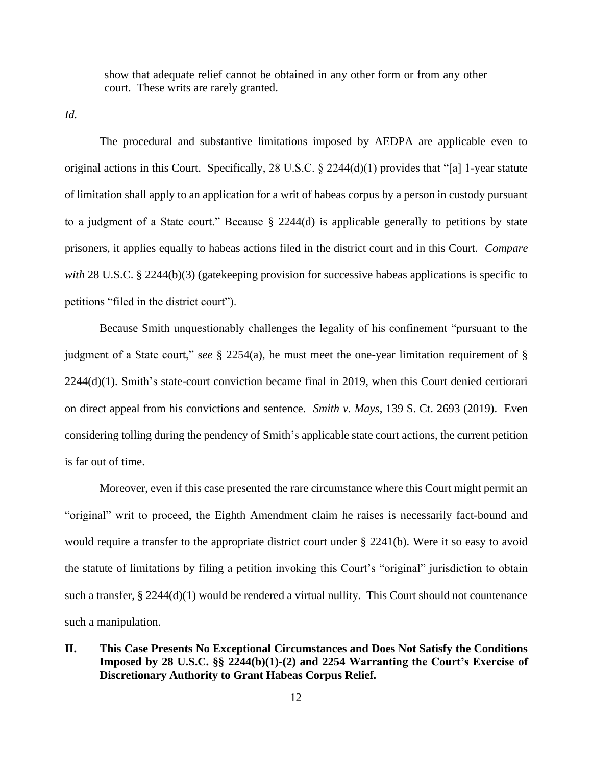show that adequate relief cannot be obtained in any other form or from any other court. These writs are rarely granted.

*Id.*

The procedural and substantive limitations imposed by AEDPA are applicable even to original actions in this Court. Specifically, 28 U.S.C.  $\S$  2244(d)(1) provides that "[a] 1-year statute of limitation shall apply to an application for a writ of habeas corpus by a person in custody pursuant to a judgment of a State court." Because § 2244(d) is applicable generally to petitions by state prisoners, it applies equally to habeas actions filed in the district court and in this Court. *Compare*  with 28 U.S.C. § 2244(b)(3) (gatekeeping provision for successive habeas applications is specific to petitions "filed in the district court").

Because Smith unquestionably challenges the legality of his confinement "pursuant to the judgment of a State court," s*ee* § 2254(a), he must meet the one-year limitation requirement of § 2244(d)(1). Smith's state-court conviction became final in 2019, when this Court denied certiorari on direct appeal from his convictions and sentence. *Smith v. Mays*, 139 S. Ct. 2693 (2019). Even considering tolling during the pendency of Smith's applicable state court actions, the current petition is far out of time.

Moreover, even if this case presented the rare circumstance where this Court might permit an "original" writ to proceed, the Eighth Amendment claim he raises is necessarily fact-bound and would require a transfer to the appropriate district court under § 2241(b). Were it so easy to avoid the statute of limitations by filing a petition invoking this Court's "original" jurisdiction to obtain such a transfer, § 2244(d)(1) would be rendered a virtual nullity. This Court should not countenance such a manipulation.

**II. This Case Presents No Exceptional Circumstances and Does Not Satisfy the Conditions Imposed by 28 U.S.C. §§ 2244(b)(1)-(2) and 2254 Warranting the Court's Exercise of Discretionary Authority to Grant Habeas Corpus Relief.**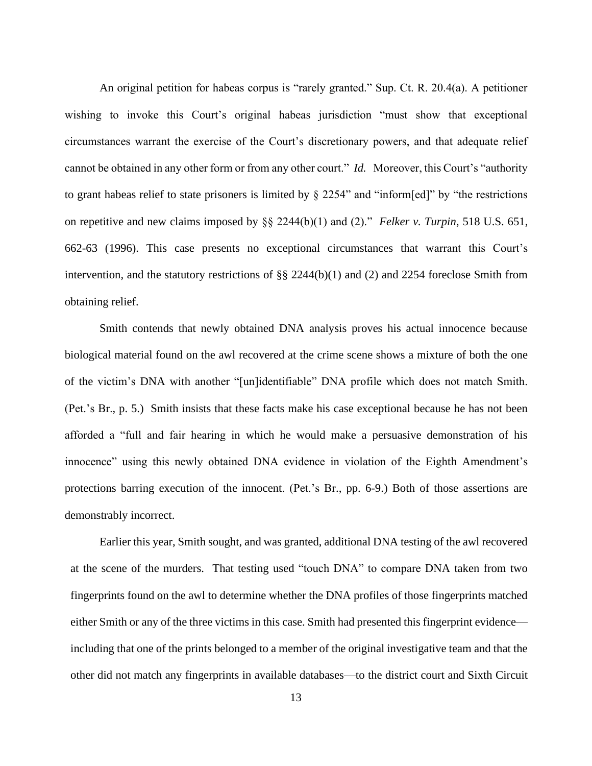An original petition for habeas corpus is "rarely granted." Sup. Ct. R. 20.4(a). A petitioner wishing to invoke this Court's original habeas jurisdiction "must show that exceptional circumstances warrant the exercise of the Court's discretionary powers, and that adequate relief cannot be obtained in any other form or from any other court." *Id.* Moreover, this Court's "authority to grant habeas relief to state prisoners is limited by § 2254" and "inform[ed]" by "the restrictions on repetitive and new claims imposed by §§ 2244(b)(1) and (2)." *Felker v. Turpin*, 518 U.S. 651, 662-63 (1996). This case presents no exceptional circumstances that warrant this Court's intervention, and the statutory restrictions of §§ 2244(b)(1) and (2) and 2254 foreclose Smith from obtaining relief.

Smith contends that newly obtained DNA analysis proves his actual innocence because biological material found on the awl recovered at the crime scene shows a mixture of both the one of the victim's DNA with another "[un]identifiable" DNA profile which does not match Smith. (Pet.'s Br., p. 5.) Smith insists that these facts make his case exceptional because he has not been afforded a "full and fair hearing in which he would make a persuasive demonstration of his innocence" using this newly obtained DNA evidence in violation of the Eighth Amendment's protections barring execution of the innocent. (Pet.'s Br., pp. 6-9.) Both of those assertions are demonstrably incorrect.

Earlier this year, Smith sought, and was granted, additional DNA testing of the awl recovered at the scene of the murders. That testing used "touch DNA" to compare DNA taken from two fingerprints found on the awl to determine whether the DNA profiles of those fingerprints matched either Smith or any of the three victims in this case. Smith had presented this fingerprint evidence including that one of the prints belonged to a member of the original investigative team and that the other did not match any fingerprints in available databases—to the district court and Sixth Circuit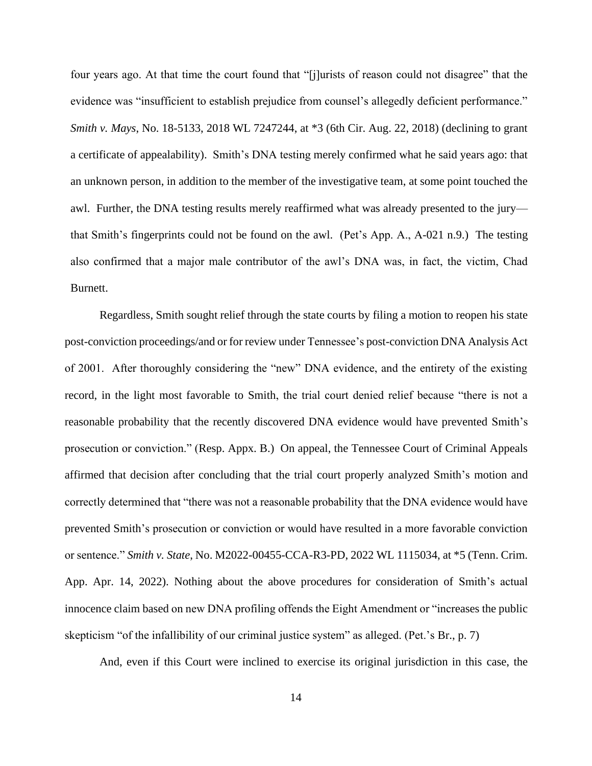four years ago. At that time the court found that "[j]urists of reason could not disagree" that the evidence was "insufficient to establish prejudice from counsel's allegedly deficient performance." *Smith v. Mays*, No. 18-5133, 2018 WL 7247244, at \*3 (6th Cir. Aug. 22, 2018) (declining to grant a certificate of appealability). Smith's DNA testing merely confirmed what he said years ago: that an unknown person, in addition to the member of the investigative team, at some point touched the awl. Further, the DNA testing results merely reaffirmed what was already presented to the jury that Smith's fingerprints could not be found on the awl. (Pet's App. A., A-021 n.9.) The testing also confirmed that a major male contributor of the awl's DNA was, in fact, the victim, Chad Burnett.

Regardless, Smith sought relief through the state courts by filing a motion to reopen his state post-conviction proceedings/and or for review under Tennessee's post-conviction DNA Analysis Act of 2001. After thoroughly considering the "new" DNA evidence, and the entirety of the existing record, in the light most favorable to Smith, the trial court denied relief because "there is not a reasonable probability that the recently discovered DNA evidence would have prevented Smith's prosecution or conviction." (Resp. Appx. B.) On appeal, the Tennessee Court of Criminal Appeals affirmed that decision after concluding that the trial court properly analyzed Smith's motion and correctly determined that "there was not a reasonable probability that the DNA evidence would have prevented Smith's prosecution or conviction or would have resulted in a more favorable conviction or sentence." *Smith v. State*, No. M2022-00455-CCA-R3-PD, 2022 WL 1115034, at \*5 (Tenn. Crim. App. Apr. 14, 2022). Nothing about the above procedures for consideration of Smith's actual innocence claim based on new DNA profiling offends the Eight Amendment or "increases the public skepticism "of the infallibility of our criminal justice system" as alleged. (Pet.'s Br., p. 7)

And, even if this Court were inclined to exercise its original jurisdiction in this case, the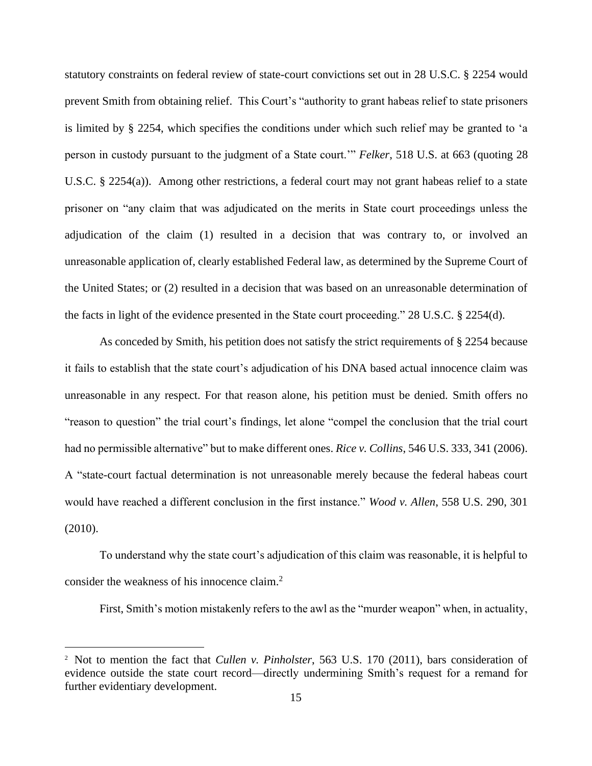statutory constraints on federal review of state-court convictions set out in 28 U.S.C. § 2254 would prevent Smith from obtaining relief. This Court's "authority to grant habeas relief to state prisoners is limited by § 2254, which specifies the conditions under which such relief may be granted to 'a person in custody pursuant to the judgment of a State court.'" *Felker*, 518 U.S. at 663 (quoting 28 U.S.C. § 2254(a)). Among other restrictions, a federal court may not grant habeas relief to a state prisoner on "any claim that was adjudicated on the merits in State court proceedings unless the adjudication of the claim (1) resulted in a decision that was contrary to, or involved an unreasonable application of, clearly established Federal law, as determined by the Supreme Court of the United States; or (2) resulted in a decision that was based on an unreasonable determination of the facts in light of the evidence presented in the State court proceeding." 28 U.S.C. § 2254(d).

As conceded by Smith, his petition does not satisfy the strict requirements of § 2254 because it fails to establish that the state court's adjudication of his DNA based actual innocence claim was unreasonable in any respect. For that reason alone, his petition must be denied. Smith offers no "reason to question" the trial court's findings, let alone "compel the conclusion that the trial court had no permissible alternative" but to make different ones. *Rice v. Collins*, 546 U.S. 333, 341 (2006). A "state-court factual determination is not unreasonable merely because the federal habeas court would have reached a different conclusion in the first instance." *Wood v. Allen*, 558 U.S. 290, 301 (2010).

To understand why the state court's adjudication of this claim was reasonable, it is helpful to consider the weakness of his innocence claim.<sup>2</sup>

First, Smith's motion mistakenly refers to the awl as the "murder weapon" when, in actuality,

<sup>2</sup> Not to mention the fact that *Cullen v. Pinholster*, 563 U.S. 170 (2011), bars consideration of evidence outside the state court record—directly undermining Smith's request for a remand for further evidentiary development.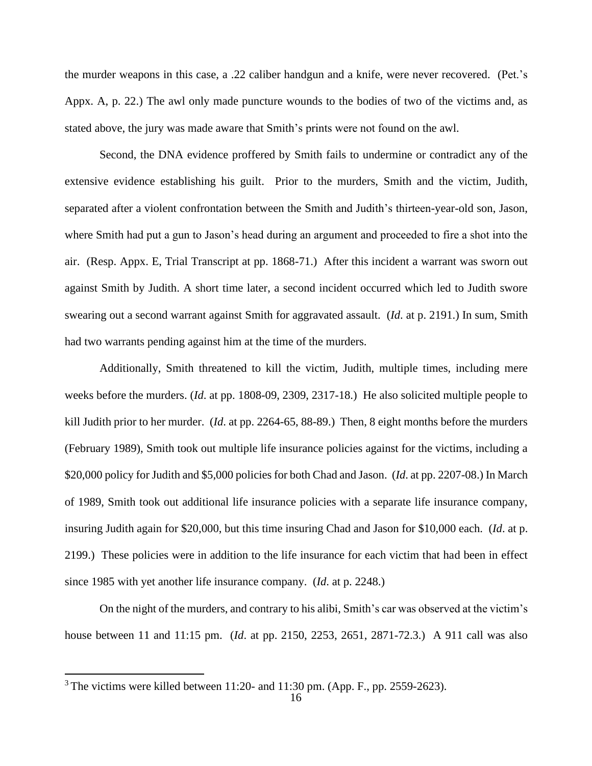the murder weapons in this case, a .22 caliber handgun and a knife, were never recovered. (Pet.'s Appx. A, p. 22.) The awl only made puncture wounds to the bodies of two of the victims and, as stated above, the jury was made aware that Smith's prints were not found on the awl.

Second, the DNA evidence proffered by Smith fails to undermine or contradict any of the extensive evidence establishing his guilt. Prior to the murders, Smith and the victim, Judith, separated after a violent confrontation between the Smith and Judith's thirteen-year-old son, Jason, where Smith had put a gun to Jason's head during an argument and proceeded to fire a shot into the air. (Resp. Appx. E, Trial Transcript at pp. 1868-71.) After this incident a warrant was sworn out against Smith by Judith. A short time later, a second incident occurred which led to Judith swore swearing out a second warrant against Smith for aggravated assault. (*Id*. at p. 2191.) In sum, Smith had two warrants pending against him at the time of the murders.

Additionally, Smith threatened to kill the victim, Judith, multiple times, including mere weeks before the murders. (*Id*. at pp. 1808-09, 2309, 2317-18.) He also solicited multiple people to kill Judith prior to her murder. (*Id*. at pp. 2264-65, 88-89.) Then, 8 eight months before the murders (February 1989), Smith took out multiple life insurance policies against for the victims, including a \$20,000 policy for Judith and \$5,000 policies for both Chad and Jason. (*Id*. at pp. 2207-08.) In March of 1989, Smith took out additional life insurance policies with a separate life insurance company, insuring Judith again for \$20,000, but this time insuring Chad and Jason for \$10,000 each. (*Id*. at p. 2199.) These policies were in addition to the life insurance for each victim that had been in effect since 1985 with yet another life insurance company. (*Id*. at p. 2248.)

On the night of the murders, and contrary to his alibi, Smith's car was observed at the victim's house between 11 and 11:15 pm. (*Id*. at pp. 2150, 2253, 2651, 2871-72.3.) A 911 call was also

 $3$  The victims were killed between 11:20- and 11:30 pm. (App. F., pp. 2559-2623).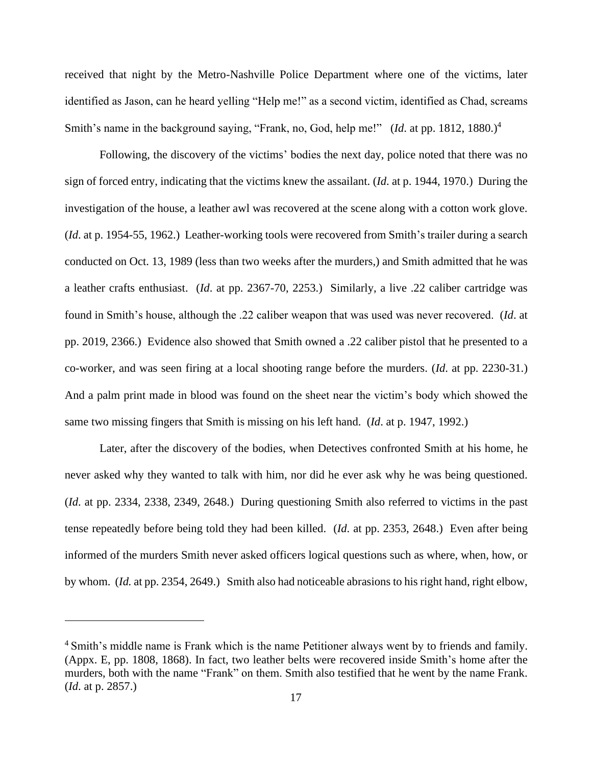received that night by the Metro-Nashville Police Department where one of the victims, later identified as Jason, can he heard yelling "Help me!" as a second victim, identified as Chad, screams Smith's name in the background saying, "Frank, no, God, help me!" (*Id.* at pp. 1812, 1880.)<sup>4</sup>

Following, the discovery of the victims' bodies the next day, police noted that there was no sign of forced entry, indicating that the victims knew the assailant. (*Id*. at p. 1944, 1970.) During the investigation of the house, a leather awl was recovered at the scene along with a cotton work glove. (*Id*. at p. 1954-55, 1962.) Leather-working tools were recovered from Smith's trailer during a search conducted on Oct. 13, 1989 (less than two weeks after the murders,) and Smith admitted that he was a leather crafts enthusiast. (*Id*. at pp. 2367-70, 2253.) Similarly, a live .22 caliber cartridge was found in Smith's house, although the .22 caliber weapon that was used was never recovered. (*Id*. at pp. 2019, 2366.) Evidence also showed that Smith owned a .22 caliber pistol that he presented to a co-worker, and was seen firing at a local shooting range before the murders. (*Id*. at pp. 2230-31.) And a palm print made in blood was found on the sheet near the victim's body which showed the same two missing fingers that Smith is missing on his left hand. (*Id*. at p. 1947, 1992.)

Later, after the discovery of the bodies, when Detectives confronted Smith at his home, he never asked why they wanted to talk with him, nor did he ever ask why he was being questioned. (*Id*. at pp. 2334, 2338, 2349, 2648.) During questioning Smith also referred to victims in the past tense repeatedly before being told they had been killed. (*Id*. at pp. 2353, 2648.) Even after being informed of the murders Smith never asked officers logical questions such as where, when, how, or by whom. (*Id.* at pp. 2354, 2649.) Smith also had noticeable abrasions to his right hand, right elbow,

<sup>&</sup>lt;sup>4</sup> Smith's middle name is Frank which is the name Petitioner always went by to friends and family. (Appx. E, pp. 1808, 1868). In fact, two leather belts were recovered inside Smith's home after the murders, both with the name "Frank" on them. Smith also testified that he went by the name Frank. (*Id*. at p. 2857.)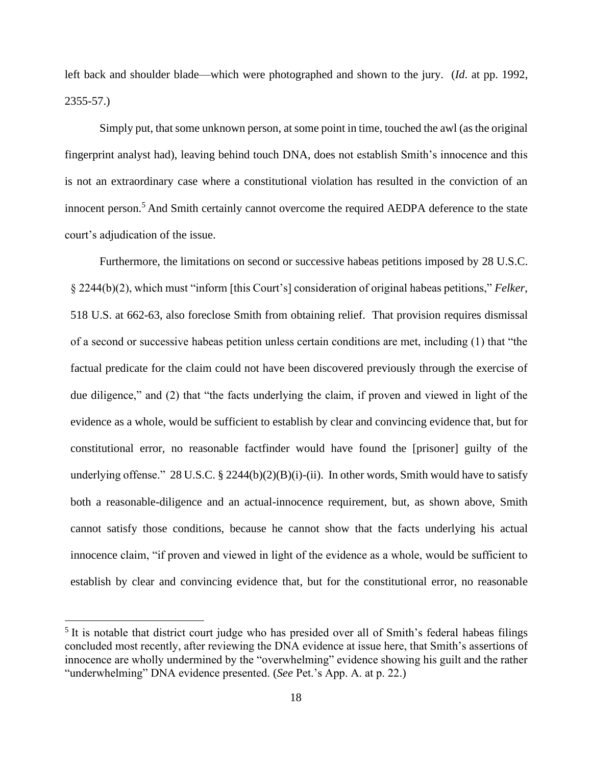left back and shoulder blade—which were photographed and shown to the jury. (*Id*. at pp. 1992, 2355-57.)

Simply put, that some unknown person, at some point in time, touched the awl (as the original fingerprint analyst had), leaving behind touch DNA, does not establish Smith's innocence and this is not an extraordinary case where a constitutional violation has resulted in the conviction of an innocent person. <sup>5</sup> And Smith certainly cannot overcome the required AEDPA deference to the state court's adjudication of the issue.

Furthermore, the limitations on second or successive habeas petitions imposed by 28 U.S.C. § 2244(b)(2), which must "inform [this Court's] consideration of original habeas petitions," *Felker*, 518 U.S. at 662-63, also foreclose Smith from obtaining relief. That provision requires dismissal of a second or successive habeas petition unless certain conditions are met, including (1) that "the factual predicate for the claim could not have been discovered previously through the exercise of due diligence," and (2) that "the facts underlying the claim, if proven and viewed in light of the evidence as a whole, would be sufficient to establish by clear and convincing evidence that, but for constitutional error, no reasonable factfinder would have found the [prisoner] guilty of the underlying offense." 28 U.S.C. § 2244(b)(2)(B)(i)-(ii). In other words, Smith would have to satisfy both a reasonable-diligence and an actual-innocence requirement, but, as shown above, Smith cannot satisfy those conditions, because he cannot show that the facts underlying his actual innocence claim, "if proven and viewed in light of the evidence as a whole, would be sufficient to establish by clear and convincing evidence that, but for the constitutional error, no reasonable

<sup>&</sup>lt;sup>5</sup> It is notable that district court judge who has presided over all of Smith's federal habeas filings concluded most recently, after reviewing the DNA evidence at issue here, that Smith's assertions of innocence are wholly undermined by the "overwhelming" evidence showing his guilt and the rather "underwhelming" DNA evidence presented. (*See* Pet.'s App. A. at p. 22.)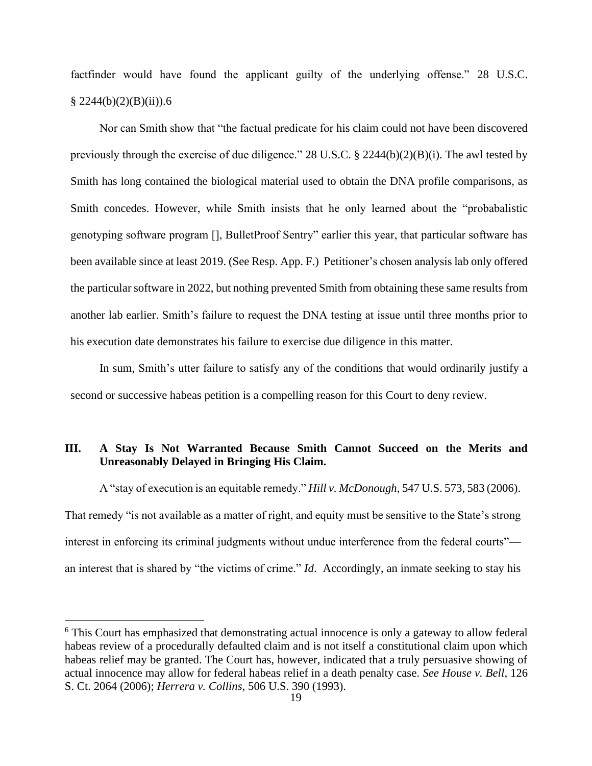factfinder would have found the applicant guilty of the underlying offense." 28 U.S.C.  $\frac{8}{2244(b)(2)(B(ii))}$ .6

Nor can Smith show that "the factual predicate for his claim could not have been discovered previously through the exercise of due diligence." 28 U.S.C. § 2244(b)(2)(B)(i). The awl tested by Smith has long contained the biological material used to obtain the DNA profile comparisons, as Smith concedes. However, while Smith insists that he only learned about the "probabalistic genotyping software program [], BulletProof Sentry" earlier this year, that particular software has been available since at least 2019. (See Resp. App. F.) Petitioner's chosen analysis lab only offered the particular software in 2022, but nothing prevented Smith from obtaining these same results from another lab earlier. Smith's failure to request the DNA testing at issue until three months prior to his execution date demonstrates his failure to exercise due diligence in this matter.

In sum, Smith's utter failure to satisfy any of the conditions that would ordinarily justify a second or successive habeas petition is a compelling reason for this Court to deny review.

## **III. A Stay Is Not Warranted Because Smith Cannot Succeed on the Merits and Unreasonably Delayed in Bringing His Claim.**

A "stay of execution is an equitable remedy." *Hill v. McDonough*, 547 U.S. 573, 583 (2006). That remedy "is not available as a matter of right, and equity must be sensitive to the State's strong interest in enforcing its criminal judgments without undue interference from the federal courts" an interest that is shared by "the victims of crime." *Id*. Accordingly, an inmate seeking to stay his

<sup>&</sup>lt;sup>6</sup> This Court has emphasized that demonstrating actual innocence is only a gateway to allow federal habeas review of a procedurally defaulted claim and is not itself a constitutional claim upon which habeas relief may be granted. The Court has, however, indicated that a truly persuasive showing of actual innocence may allow for federal habeas relief in a death penalty case. *See House v. Bell*, 126 S. Ct. 2064 (2006); *Herrera v. Collins*, 506 U.S. 390 (1993).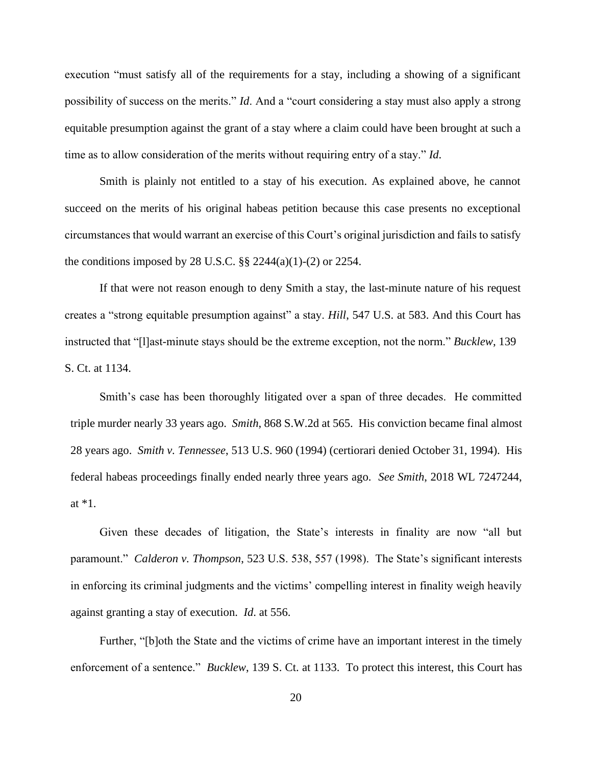execution "must satisfy all of the requirements for a stay, including a showing of a significant possibility of success on the merits." *Id*. And a "court considering a stay must also apply a strong equitable presumption against the grant of a stay where a claim could have been brought at such a time as to allow consideration of the merits without requiring entry of a stay." *Id*.

Smith is plainly not entitled to a stay of his execution. As explained above, he cannot succeed on the merits of his original habeas petition because this case presents no exceptional circumstances that would warrant an exercise of this Court's original jurisdiction and fails to satisfy the conditions imposed by 28 U.S.C.  $\S$ § 2244(a)(1)-(2) or 2254.

If that were not reason enough to deny Smith a stay, the last-minute nature of his request creates a "strong equitable presumption against" a stay. *Hill*, 547 U.S. at 583. And this Court has instructed that "[l]ast-minute stays should be the extreme exception, not the norm." *Bucklew*, 139 S. Ct. at 1134.

Smith's case has been thoroughly litigated over a span of three decades. He committed triple murder nearly 33 years ago. *Smith*, 868 S.W.2d at 565. His conviction became final almost 28 years ago. *Smith v. Tennessee*, 513 U.S. 960 (1994) (certiorari denied October 31, 1994). His federal habeas proceedings finally ended nearly three years ago. *See Smith*, 2018 WL 7247244, at \*1.

Given these decades of litigation, the State's interests in finality are now "all but paramount." *Calderon v. Thompson*, 523 U.S. 538, 557 (1998). The State's significant interests in enforcing its criminal judgments and the victims' compelling interest in finality weigh heavily against granting a stay of execution. *Id*. at 556.

Further, "[b]oth the State and the victims of crime have an important interest in the timely enforcement of a sentence." *Bucklew*, 139 S. Ct. at 1133. To protect this interest, this Court has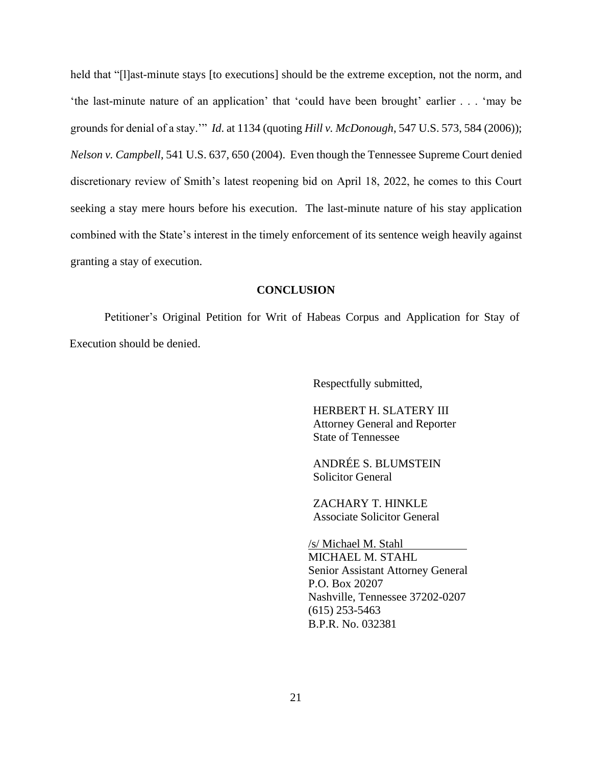held that "[1]ast-minute stays [to executions] should be the extreme exception, not the norm, and 'the last-minute nature of an application' that 'could have been brought' earlier . . . 'may be grounds for denial of a stay.'" *Id*. at 1134 (quoting *Hill v. McDonough*, 547 U.S. 573, 584 (2006)); *Nelson v. Campbell*, 541 U.S. 637, 650 (2004). Even though the Tennessee Supreme Court denied discretionary review of Smith's latest reopening bid on April 18, 2022, he comes to this Court seeking a stay mere hours before his execution. The last-minute nature of his stay application combined with the State's interest in the timely enforcement of its sentence weigh heavily against granting a stay of execution.

### **CONCLUSION**

Petitioner's Original Petition for Writ of Habeas Corpus and Application for Stay of Execution should be denied.

Respectfully submitted,

HERBERT H. SLATERY III Attorney General and Reporter State of Tennessee

ANDRÉE S. BLUMSTEIN Solicitor General

ZACHARY T. HINKLE Associate Solicitor General

/s/ Michael M. Stahl MICHAEL M. STAHL Senior Assistant Attorney General P.O. Box 20207 Nashville, Tennessee 37202-0207 (615) 253-5463 B.P.R. No. 032381